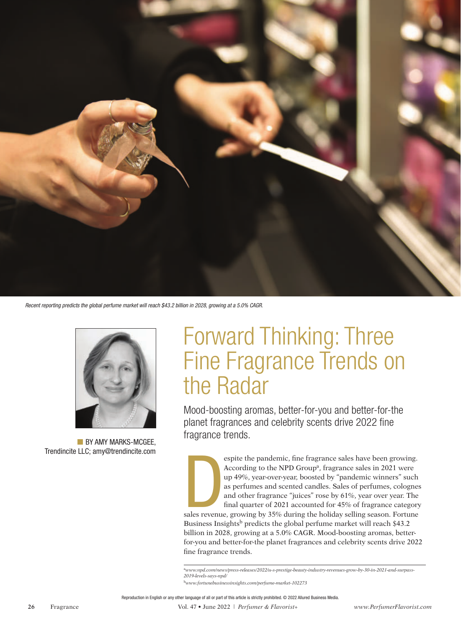

*Recent reporting predicts the global perfume market will reach \$43.2 billion in 2028, growing at a 5.0% CAGR.*



BY AMY MARKS-MCGEE. Trendincite LLC; amy@trendincite.com

# Forward Thinking: Three Fine Fragrance Trends on the Radar

Mood-boosting aromas, better-for-you and better-for-the planet fragrances and celebrity scents drive 2022 fine fragrance trends.

espite the pandemic, fine fragrance sales have been growing.<br>According to the NPD Group<sup>a</sup>, fragrance sales in 2021 were<br>up 49%, year-over-year, boosted by "pandemic winners" such<br>as perfumes and scented candles. Sales of espite the pandemic, fine fragrance sales have been growing. According to the NPD Group<sup>a</sup>, fragrance sales in 2021 were up 49%, year-over-year, boosted by "pandemic winners" such as perfumes and scented candles. Sales of perfumes, colognes and other fragrance "juices" rose by 61%, year over year. The final quarter of 2021 accounted for 45% of fragrance category

Business Insights<sup>b</sup> predicts the global perfume market will reach \$43.2 billion in 2028, growing at a 5.0% CAGR. Mood-boosting aromas, betterfor-you and better-for-the planet fragrances and celebrity scents drive 2022 fine fragrance trends.

a*www.npd.com/news/press-releases/2022/u-s-prestige-beauty-industry-revenues-grow-by-30-in-2021-and-surpass-2019-levels-says-npd/*

<sup>b</sup>*www.fortunebusinessinsights.com/perfume-market-102273*

**26** Fragrance Vol. 47 • June 2022 | *Perfumer & Flavorist+ www.PerfumerFlavorist.com*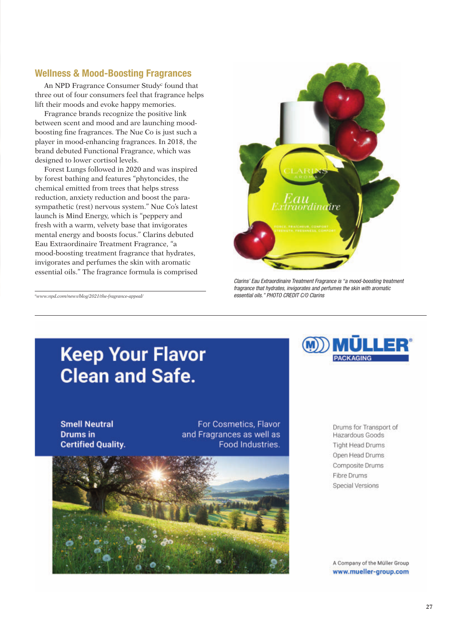### Wellness & Mood-Boosting Fragrances

An NPD Fragrance Consumer Study<sup>c</sup> found that three out of four consumers feel that fragrance helps lift their moods and evoke happy memories.

Fragrance brands recognize the positive link between scent and mood and are launching moodboosting fine fragrances. The Nue Co is just such a player in mood-enhancing fragrances. In 2018, the brand debuted Functional Fragrance, which was designed to lower cortisol levels.

Forest Lungs followed in 2020 and was inspired by forest bathing and features "phytoncides, the chemical emitted from trees that helps stress reduction, anxiety reduction and boost the parasympathetic (rest) nervous system." Nue Co's latest launch is Mind Energy, which is "peppery and fresh with a warm, velvety base that invigorates mental energy and boosts focus." Clarins debuted Eau Extraordinaire Treatment Fragrance, "a mood-boosting treatment fragrance that hydrates, invigorates and perfumes the skin with aromatic essential oils." The fragrance formula is comprised

<sup>c</sup>*www.npd.com/news/blog/2021/the-fragrance-appeal/*



*Clarins' Eau Extraordinaire Treatment Fragrance is "a mood-boosting treatment fragrance that hydrates, invigorates and perfumes the skin with aromatic essential oils." PHOTO CREDIT C/O Clarins*

## **Keep Your Flavor Clean and Safe.**

**Smell Neutral Drums** in **Certified Quality.** 

For Cosmetics, Flavor and Fragrances as well as Food Industries.





Drums for Transport of Hazardous Goods **Tight Head Drums** Open Head Drums Composite Drums Fibre Drums Special Versions

A Company of the Müller Group www.mueller-group.com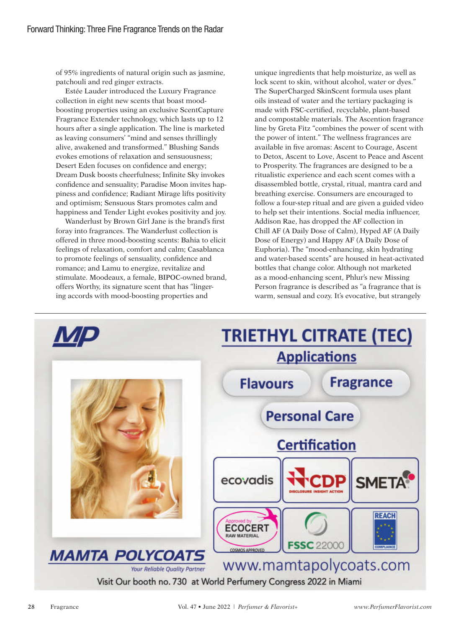of 95% ingredients of natural origin such as jasmine, patchouli and red ginger extracts.

Estée Lauder introduced the Luxury Fragrance collection in eight new scents that boast moodboosting properties using an exclusive ScentCapture Fragrance Extender technology, which lasts up to 12 hours after a single application. The line is marketed as leaving consumers' "mind and senses thrillingly alive, awakened and transformed." Blushing Sands evokes emotions of relaxation and sensuousness; Desert Eden focuses on confidence and energy; Dream Dusk boosts cheerfulness; Infinite Sky invokes confidence and sensuality; Paradise Moon invites happiness and confidence; Radiant Mirage lifts positivity and optimism; Sensuous Stars promotes calm and happiness and Tender Light evokes positivity and joy.

Wanderlust by Brown Girl Jane is the brand's first foray into fragrances. The Wanderlust collection is offered in three mood-boosting scents: Bahia to elicit feelings of relaxation, comfort and calm; Casablanca to promote feelings of sensuality, confidence and romance; and Lamu to energize, revitalize and stimulate. Moodeaux, a female, BIPOC-owned brand, offers Worthy, its signature scent that has "lingering accords with mood-boosting properties and

unique ingredients that help moisturize, as well as lock scent to skin, without alcohol, water or dyes." The SuperCharged SkinScent formula uses plant oils instead of water and the tertiary packaging is made with FSC-certified, recyclable, plant-based and compostable materials. The Ascention fragrance line by Greta Fitz "combines the power of scent with the power of intent." The wellness fragrances are available in five aromas: Ascent to Courage, Ascent to Detox, Ascent to Love, Ascent to Peace and Ascent to Prosperity. The fragrances are designed to be a ritualistic experience and each scent comes with a disassembled bottle, crystal, ritual, mantra card and breathing exercise. Consumers are encouraged to follow a four-step ritual and are given a guided video to help set their intentions. Social media influencer, Addison Rae, has dropped the AF collection in Chill AF (A Daily Dose of Calm), Hyped AF (A Daily Dose of Energy) and Happy AF (A Daily Dose of Euphoria). The "mood-enhancing, skin hydrating and water-based scents" are housed in heat-activated bottles that change color. Although not marketed as a mood-enhancing scent, Phlur's new Missing Person fragrance is described as "a fragrance that is warm, sensual and cozy. It's evocative, but strangely

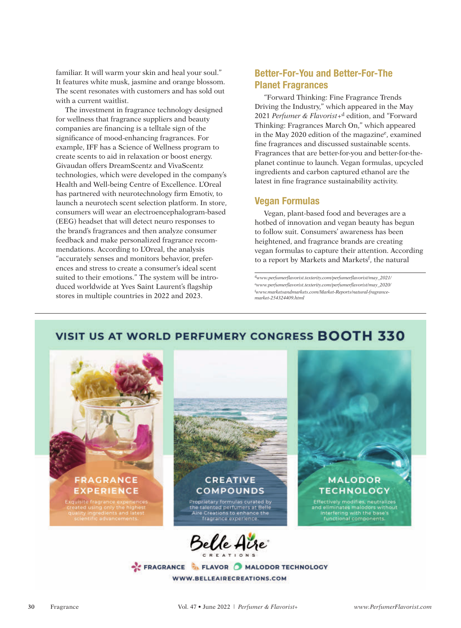familiar. It will warm your skin and heal your soul." It features white musk, jasmine and orange blossom. The scent resonates with customers and has sold out with a current waitlist.

The investment in fragrance technology designed for wellness that fragrance suppliers and beauty companies are financing is a telltale sign of the significance of mood-enhancing fragrances. For example, IFF has a Science of Wellness program to create scents to aid in relaxation or boost energy. Givaudan offers DreamScentz and VivaScentz technologies, which were developed in the company's Health and Well-being Centre of Excellence. L'Oreal has partnered with neurotechnology firm Emotiv, to launch a neurotech scent selection platform. In store, consumers will wear an electroencephalogram-based (EEG) headset that will detect neuro responses to the brand's fragrances and then analyze consumer feedback and make personalized fragrance recommendations. According to L'Oreal, the analysis "accurately senses and monitors behavior, preferences and stress to create a consumer's ideal scent suited to their emotions." The system will be introduced worldwide at Yves Saint Laurent's flagship stores in multiple countries in 2022 and 2023.

## Better-For-You and Better-For-The Planet Fragrances

"Forward Thinking: Fine Fragrance Trends Driving the Industry," which appeared in the May 2021 *Perfumer & Flavorist*+d edition, and "Forward Thinking: Fragrances March On," which appeared in the May 2020 edition of the magazine<sup>e</sup>, examined fine fragrances and discussed sustainable scents. Fragrances that are better-for-you and better-for-theplanet continue to launch. Vegan formulas, upcycled ingredients and carbon captured ethanol are the latest in fine fragrance sustainability activity.

### Vegan Formulas

Vegan, plant-based food and beverages are a hotbed of innovation and vegan beauty has begun to follow suit. Consumers' awareness has been heightened, and fragrance brands are creating vegan formulas to capture their attention. According to a report by Markets and Markets<sup>f</sup>, the natural

<sup>d</sup>*www.perfumerflavorist.texterity.com/perfumerflavorist/may\_2021/* <sup>e</sup>*www.perfumerflavorist.texterity.com/perfumerflavorist/may\_2020/* f *www.marketsandmarkets.com/Market-Reports/natural-fragrancemarket-254324409.html*

## VISIT US AT WORLD PERFUMERY CONGRESS BOOTH 330





FRAGRANCE TLAVOR MALODOR TECHNOLOGY WWW.BELLEAIRECREATIONS.COM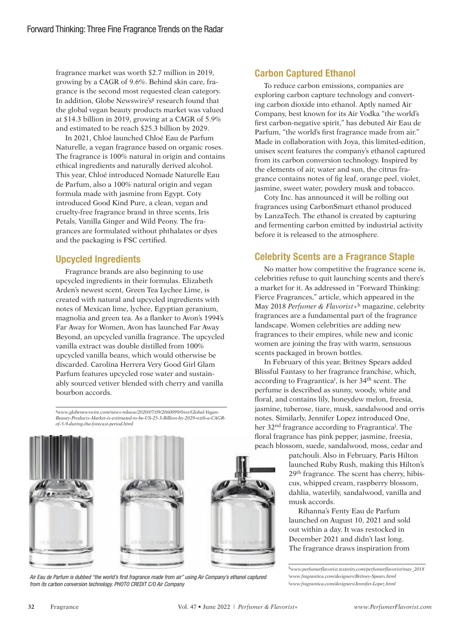fragrance market was worth \$2.7 million in 2019, growing by a CAGR of 9.6%. Behind skin care, fragrance is the second most requested clean category. In addition, Globe Newswire's<sup>g</sup> research found that the global vegan beauty products market was valued at \$14.3 billion in 2019, growing at a CAGR of 5.9% and estimated to be reach \$25.3 billion by 2029.

In 2021, Chloé launched Chloé Eau de Parfum Naturelle, a vegan fragrance based on organic roses. The fragrance is 100% natural in origin and contains ethical ingredients and naturally derived alcohol. This year, Chloé introduced Nomade Naturelle Eau de Parfum, also a 100% natural origin and vegan formula made with jasmine from Egypt. Coty introduced Good Kind Pure, a clean, vegan and cruelty-free fragrance brand in three scents, Iris Petals, Vanilla Ginger and Wild Peony. The fragrances are formulated without phthalates or dyes and the packaging is FSC certified.

## Upcycled Ingredients

Fragrance brands are also beginning to use upcycled ingredients in their formulas. Elizabeth Arden's newest scent, Green Tea Lychee Lime, is created with natural and upcycled ingredients with notes of Mexican lime, lychee, Egyptian geranium, magnolia and green tea. As a flanker to Avon's 1994's Far Away for Women, Avon has launched Far Away Beyond, an upcycled vanilla fragrance. The upcycled vanilla extract was double distilled from 100% upcycled vanilla beans, which would otherwise be discarded. Carolina Herrera Very Good Girl Glam Parfum features upcycled rose water and sustainably sourced vetiver blended with cherry and vanilla bourbon accords.

g*www.globenewswire.com/news-release/2020/07/09/2060099/0/en/Global-Vegan-Beauty-Products-Market-is-estimated-to-be-US-25-3-Billion-by-2029-with-a-CAGRof-5-9-during-the-forecast-period.html*







*Air Eau de Parfum is dubbed "the world's first fragrance made from air" using Air Company's ethanol captured from its carbon conversion technology. PHOTO CREDIT C/O Air Company*

## Carbon Captured Ethanol

To reduce carbon emissions, companies are exploring carbon capture technology and converting carbon dioxide into ethanol. Aptly named Air Company, best known for its Air Vodka "the world's first carbon-negative spirit," has debuted Air Eau de Parfum, "the world's first fragrance made from air." Made in collaboration with Joya, this limited-edition, unisex scent features the company's ethanol captured from its carbon conversion technology. Inspired by the elements of air, water and sun, the citrus fragrance contains notes of fig leaf, orange peel, violet, jasmine, sweet water, powdery musk and tobacco.

Coty Inc. has announced it will be rolling out fragrances using CarbonSmart ethanol produced by LanzaTech. The ethanol is created by capturing and fermenting carbon emitted by industrial activity before it is released to the atmosphere.

## Celebrity Scents are a Fragrance Staple

No matter how competitive the fragrance scene is, celebrities refuse to quit launching scents and there's a market for it. As addressed in "Forward Thinking: Fierce Fragrances," article, which appeared in the May 2018 *Perfumer & Flavorist*+h magazine, celebrity fragrances are a fundamental part of the fragrance landscape. Women celebrities are adding new fragrances to their empires, while new and iconic women are joining the fray with warm, sensuous scents packaged in brown bottles.

In February of this year, Britney Spears added Blissful Fantasy to her fragrance franchise, which, according to Fragrantica<sup>i</sup>, is her 34<sup>th</sup> scent. The perfume is described as sunny, woody, white and floral, and contains lily, honeydew melon, freesia, jasmine, tuberose, tiare, musk, sandalwood and orris notes. Similarly, Jennifer Lopez introduced One, her 32<sup>nd</sup> fragrance according to Fragrantica<sup>j</sup>. The floral fragrance has pink pepper, jasmine, freesia, peach blossom, suede, sandalwood, moss, cedar and

> patchouli. Also in February, Paris Hilton launched Ruby Rush, making this Hilton's 29th fragrance. The scent has cherry, hibiscus, whipped cream, raspberry blossom, dahlia, waterlily, sandalwood, vanilla and musk accords.

Rihanna's Fenty Eau de Parfum launched on August 10, 2021 and sold out within a day. It was restocked in December 2021 and didn't last long. The fragrance draws inspiration from

<sup>h</sup>*www.perfumerflavorist.texterity.com/perfumerflavorist/may\_2018* i *www.fragrantica.com/designers/Britney-Spears.html* j *www.fragrantica.com/designers/Jennifer-Lopez.html*